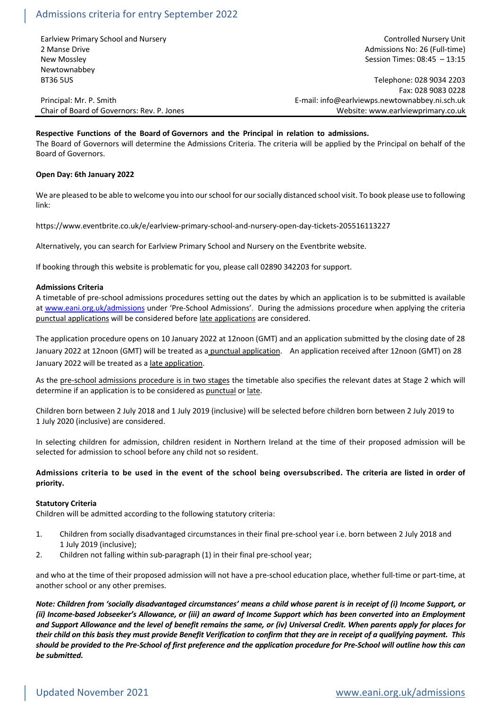# Admissions criteria for entry September 2022

Earlview Primary School and Nursery Controlled Nursery Unit 2 Manse Drive **Admissions No: 26 (Full-time)** 2 Manse Drive Admissions No: 26 (Full-time) New Mossley Session Times: 08:45 – 13:15 Newtownabbey

BT36 5US Telephone: 028 9034 2203 Fax: 028 9083 0228 Principal: Mr. P. Smith E-mail: info@earlviewps.newtownabbey.ni.sch.uk Chair of Board of Governors: Rev. P. Jones Website: www.earlviewprimary.co.uk

## **Respective Functions of the Board of Governors and the Principal in relation to admissions.**

The Board of Governors will determine the Admissions Criteria. The criteria will be applied by the Principal on behalf of the Board of Governors.

### **Open Day: 6th January 2022**

We are pleased to be able to welcome you into our school for our socially distanced school visit. To book please use to following link:

https://www.eventbrite.co.uk/e/earlview-primary-school-and-nursery-open-day-tickets-205516113227

Alternatively, you can search for Earlview Primary School and Nursery on the Eventbrite website.

If booking through this website is problematic for you, please call 02890 342203 for support.

## **Admissions Criteria**

A timetable of pre-school admissions procedures setting out the dates by which an application is to be submitted is available at www.eani.org.uk/admissions under 'Pre-School Admissions'. During the admissions procedure when applying the criteria punctual applications will be considered before late applications are considered.

The application procedure opens on 10 January 2022 at 12noon (GMT) and an application submitted by the closing date of 28 January 2022 at 12noon (GMT) will be treated as a punctual application. An application received after 12noon (GMT) on 28 January 2022 will be treated as a late application.

As the pre-school admissions procedure is in two stages the timetable also specifies the relevant dates at Stage 2 which will determine if an application is to be considered as punctual or late.

Children born between 2 July 2018 and 1 July 2019 (inclusive) will be selected before children born between 2 July 2019 to 1 July 2020 (inclusive) are considered.

In selecting children for admission, children resident in Northern Ireland at the time of their proposed admission will be selected for admission to school before any child not so resident.

## **Admissions criteria to be used in the event of the school being oversubscribed. The criteria are listed in order of priority.**

#### **Statutory Criteria**

Children will be admitted according to the following statutory criteria:

- 1. Children from socially disadvantaged circumstances in their final pre-school year i.e. born between 2 July 2018 and 1 July 2019 (inclusive);
- 2. Children not falling within sub-paragraph (1) in their final pre-school year;

and who at the time of their proposed admission will not have a pre-school education place, whether full-time or part-time, at another school or any other premises.

*Note: Children from 'socially disadvantaged circumstances' means a child whose parent is in receipt of (i) Income Support, or (ii) Income-based Jobseeker's Allowance, or (iii) an award of Income Support which has been converted into an Employment and Support Allowance and the level of benefit remains the same, or (iv) Universal Credit. When parents apply for places for their child on this basis they must provide Benefit Verification to confirm that they are in receipt of a qualifying payment. This should be provided to the Pre-School of first preference and the application procedure for Pre-School will outline how this can be submitted.*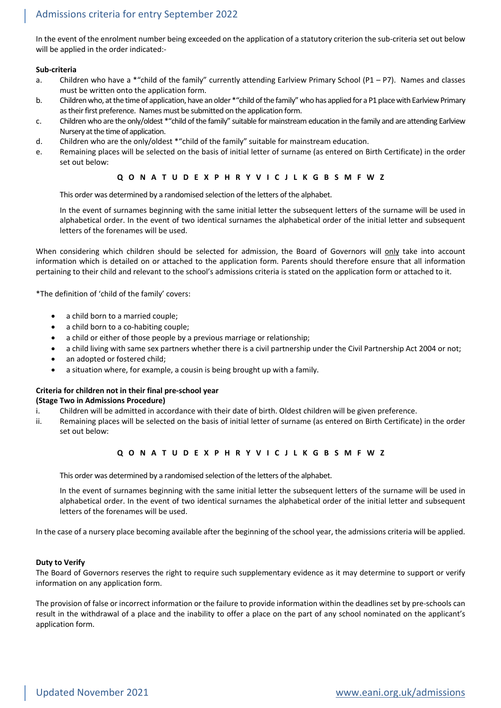In the event of the enrolment number being exceeded on the application of a statutory criterion the sub-criteria set out below will be applied in the order indicated:-

## **Sub-criteria**

- a. Children who have a \*"child of the family" currently attending Earlview Primary School (P1 P7). Names and classes must be written onto the application form.
- b. Children who, at the time of application, have an older \*"child of the family" who has applied for a P1 place with Earlview Primary as their first preference. Names must be submitted on the application form.
- c. Children who are the only/oldest \*"child of the family" suitable for mainstream education in the family and are attending Earlview Nursery at the time of application.
- d. Children who are the only/oldest \*"child of the family" suitable for mainstream education.
- e. Remaining places will be selected on the basis of initial letter of surname (as entered on Birth Certificate) in the order set out below:

## **Q O N A T U D E X P H R Y V I C J L K G B S M F W Z**

This order was determined by a randomised selection of the letters of the alphabet.

In the event of surnames beginning with the same initial letter the subsequent letters of the surname will be used in alphabetical order. In the event of two identical surnames the alphabetical order of the initial letter and subsequent letters of the forenames will be used.

When considering which children should be selected for admission, the Board of Governors will only take into account information which is detailed on or attached to the application form. Parents should therefore ensure that all information pertaining to their child and relevant to the school's admissions criteria is stated on the application form or attached to it.

\*The definition of 'child of the family' covers:

- a child born to a married couple;
- a child born to a co-habiting couple;
- a child or either of those people by a previous marriage or relationship;
- a child living with same sex partners whether there is a civil partnership under the Civil Partnership Act 2004 or not;
- an adopted or fostered child;
- a situation where, for example, a cousin is being brought up with a family.

## **Criteria for children not in their final pre-school year (Stage Two in Admissions Procedure)**

- i. Children will be admitted in accordance with their date of birth. Oldest children will be given preference.
- ii. Remaining places will be selected on the basis of initial letter of surname (as entered on Birth Certificate) in the order set out below:

#### **Q O N A T U D E X P H R Y V I C J L K G B S M F W Z**

This order was determined by a randomised selection of the letters of the alphabet.

In the event of surnames beginning with the same initial letter the subsequent letters of the surname will be used in alphabetical order. In the event of two identical surnames the alphabetical order of the initial letter and subsequent letters of the forenames will be used.

In the case of a nursery place becoming available after the beginning of the school year, the admissions criteria will be applied.

## **Duty to Verify**

The Board of Governors reserves the right to require such supplementary evidence as it may determine to support or verify information on any application form.

The provision of false or incorrect information or the failure to provide information within the deadlines set by pre-schools can result in the withdrawal of a place and the inability to offer a place on the part of any school nominated on the applicant's application form.